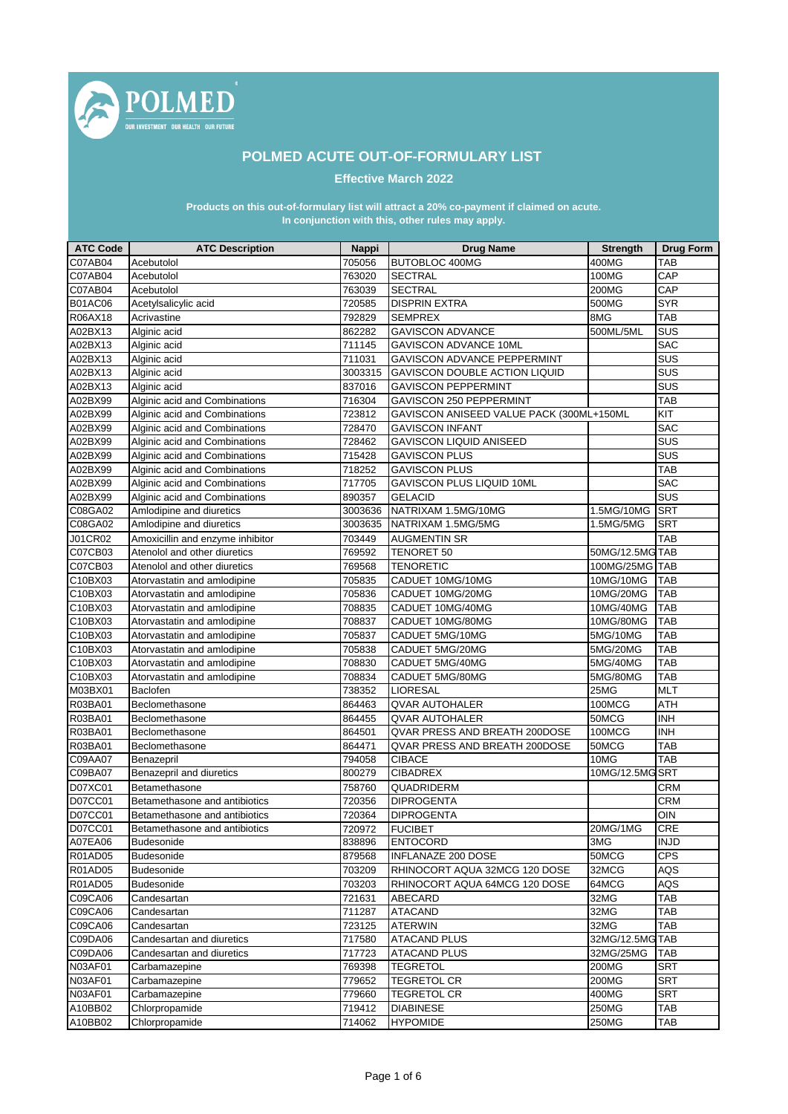

## **POLMED ACUTE OUT-OF-FORMULARY LIST**

**Effective March 2022**

## **In conjunction with this, other rules may apply. Products on this out-of-formulary list will attract a 20% co-payment if claimed on acute.**

| <b>ATC Code</b> | <b>ATC Description</b>           | <b>Nappi</b> | <b>Drug Name</b>                         | <b>Strength</b> | <b>Drug Form</b> |
|-----------------|----------------------------------|--------------|------------------------------------------|-----------------|------------------|
| C07AB04         | Acebutolol                       | 705056       | <b>BUTOBLOC 400MG</b>                    | 400MG           | TAB              |
| C07AB04         | Acebutolol                       | 763020       | <b>SECTRAL</b>                           | 100MG           | CAP              |
| C07AB04         | Acebutolol                       | 763039       | <b>SECTRAL</b>                           | 200MG           | CAP              |
| <b>B01AC06</b>  | Acetylsalicylic acid             | 720585       | <b>DISPRIN EXTRA</b>                     | 500MG           | <b>SYR</b>       |
| R06AX18         | Acrivastine                      | 792829       | <b>SEMPREX</b>                           | 8MG             | <b>TAB</b>       |
| A02BX13         | Alginic acid                     | 862282       | <b>GAVISCON ADVANCE</b>                  | 500ML/5ML       | SUS              |
| A02BX13         | Alginic acid                     | 711145       | GAVISCON ADVANCE 10ML                    |                 | <b>SAC</b>       |
| A02BX13         | Alginic acid                     | 711031       | <b>GAVISCON ADVANCE PEPPERMINT</b>       |                 | SUS              |
| A02BX13         | Alginic acid                     | 3003315      | GAVISCON DOUBLE ACTION LIQUID            |                 | SUS              |
| A02BX13         | Alginic acid                     | 837016       | <b>GAVISCON PEPPERMINT</b>               |                 | SUS              |
| A02BX99         | Alginic acid and Combinations    | 716304       | GAVISCON 250 PEPPERMINT                  |                 | <b>TAB</b>       |
| A02BX99         | Alginic acid and Combinations    | 723812       | GAVISCON ANISEED VALUE PACK (300ML+150ML |                 | KIT              |
| A02BX99         | Alginic acid and Combinations    | 728470       | <b>GAVISCON INFANT</b>                   |                 | <b>SAC</b>       |
| A02BX99         | Alginic acid and Combinations    | 728462       | <b>GAVISCON LIQUID ANISEED</b>           |                 | SUS              |
| A02BX99         | Alginic acid and Combinations    | 715428       | <b>GAVISCON PLUS</b>                     |                 | SUS              |
| A02BX99         | Alginic acid and Combinations    | 718252       | <b>GAVISCON PLUS</b>                     |                 | <b>TAB</b>       |
| A02BX99         | Alginic acid and Combinations    | 717705       | GAVISCON PLUS LIQUID 10ML                |                 | <b>SAC</b>       |
| A02BX99         | Alginic acid and Combinations    | 890357       | <b>GELACID</b>                           |                 | SUS              |
| C08GA02         | Amlodipine and diuretics         | 3003636      | NATRIXAM 1.5MG/10MG                      | 1.5MG/10MG      | <b>SRT</b>       |
| C08GA02         | Amlodipine and diuretics         | 3003635      | NATRIXAM 1.5MG/5MG                       | 1.5MG/5MG       | <b>SRT</b>       |
| J01CR02         | Amoxicillin and enzyme inhibitor | 703449       | <b>AUGMENTIN SR</b>                      |                 | <b>TAB</b>       |
| C07CB03         | Atenolol and other diuretics     | 769592       | TENORET 50                               | 50MG/12.5MG TAB |                  |
| C07CB03         | Atenolol and other diuretics     | 769568       | <b>TENORETIC</b>                         | 100MG/25MG TAB  |                  |
| C10BX03         | Atorvastatin and amlodipine      | 705835       | CADUET 10MG/10MG                         | 10MG/10MG       | <b>TAB</b>       |
| C10BX03         | Atorvastatin and amlodipine      | 705836       | CADUET 10MG/20MG                         | 10MG/20MG       | <b>TAB</b>       |
| C10BX03         | Atorvastatin and amlodipine      | 708835       | CADUET 10MG/40MG                         | 10MG/40MG       | <b>TAB</b>       |
| C10BX03         | Atorvastatin and amlodipine      | 708837       | CADUET 10MG/80MG                         | 10MG/80MG       | <b>TAB</b>       |
| C10BX03         | Atorvastatin and amlodipine      | 705837       | CADUET 5MG/10MG                          | 5MG/10MG        | <b>TAB</b>       |
| C10BX03         | Atorvastatin and amlodipine      | 705838       | CADUET 5MG/20MG                          | 5MG/20MG        | <b>TAB</b>       |
| C10BX03         | Atorvastatin and amlodipine      | 708830       | CADUET 5MG/40MG                          | 5MG/40MG        | <b>TAB</b>       |
| C10BX03         | Atorvastatin and amlodipine      | 708834       | CADUET 5MG/80MG                          | 5MG/80MG        | <b>TAB</b>       |
| M03BX01         | Baclofen                         | 738352       | <b>LIORESAL</b>                          | 25MG            | <b>MLT</b>       |
| R03BA01         | Beclomethasone                   | 864463       | <b>QVAR AUTOHALER</b>                    | 100MCG          | <b>ATH</b>       |
| R03BA01         | Beclomethasone                   | 864455       | <b>QVAR AUTOHALER</b>                    | 50MCG           | <b>INH</b>       |
| R03BA01         | Beclomethasone                   | 864501       | QVAR PRESS AND BREATH 200DOSE            | 100MCG          | <b>INH</b>       |
| R03BA01         | Beclomethasone                   | 864471       | QVAR PRESS AND BREATH 200DOSE            | 50MCG           | <b>TAB</b>       |
| C09AA07         | Benazepril                       | 794058       | <b>CIBACE</b>                            | 10MG            | <b>TAB</b>       |
| C09BA07         | Benazepril and diuretics         | 800279       | <b>CIBADREX</b>                          | 10MG/12.5MG SRT |                  |
| D07XC01         | Betamethasone                    | 758760       | QUADRIDERM                               |                 | <b>CRM</b>       |
| D07CC01         | Betamethasone and antibiotics    | 720356       | <b>DIPROGENTA</b>                        |                 | <b>CRM</b>       |
| D07CC01         | Betamethasone and antibiotics    | 720364       | <b>DIPROGENTA</b>                        |                 | OIN              |
| D07CC01         | Betamethasone and antibiotics    | 720972       | <b>FUCIBET</b>                           | 20MG/1MG        | <b>CRE</b>       |
| A07EA06         | Budesonide                       | 838896       | <b>ENTOCORD</b>                          | 3MG             | <b>INJD</b>      |
| R01AD05         | <b>Budesonide</b>                | 879568       | INFLANAZE 200 DOSE                       | 50MCG           | <b>CPS</b>       |
| R01AD05         | Budesonide                       | 703209       | RHINOCORT AQUA 32MCG 120 DOSE            | 32MCG           | AQS              |
| R01AD05         | Budesonide                       | 703203       | RHINOCORT AQUA 64MCG 120 DOSE            | 64MCG           | AQS              |
| C09CA06         | Candesartan                      | 721631       | ABECARD                                  | 32MG            | <b>TAB</b>       |
| C09CA06         | Candesartan                      | 711287       | <b>ATACAND</b>                           | 32MG            | TAB              |
| C09CA06         | Candesartan                      | 723125       | <b>ATERWIN</b>                           | 32MG            | <b>TAB</b>       |
| C09DA06         | Candesartan and diuretics        | 717580       | <b>ATACAND PLUS</b>                      | 32MG/12.5MGTAB  |                  |
| C09DA06         | Candesartan and diuretics        | 717723       | <b>ATACAND PLUS</b>                      | 32MG/25MG       | <b>TAB</b>       |
| N03AF01         | Carbamazepine                    | 769398       | <b>TEGRETOL</b>                          | 200MG           | <b>SRT</b>       |
| N03AF01         | Carbamazepine                    | 779652       | <b>TEGRETOL CR</b>                       | 200MG           | <b>SRT</b>       |
| N03AF01         | Carbamazepine                    | 779660       | <b>TEGRETOL CR</b>                       | 400MG           | <b>SRT</b>       |
| A10BB02         | Chlorpropamide                   | 719412       | <b>DIABINESE</b>                         | 250MG           | <b>TAB</b>       |
| A10BB02         | Chlorpropamide                   | 714062       | <b>HYPOMIDE</b>                          | 250MG           | <b>TAB</b>       |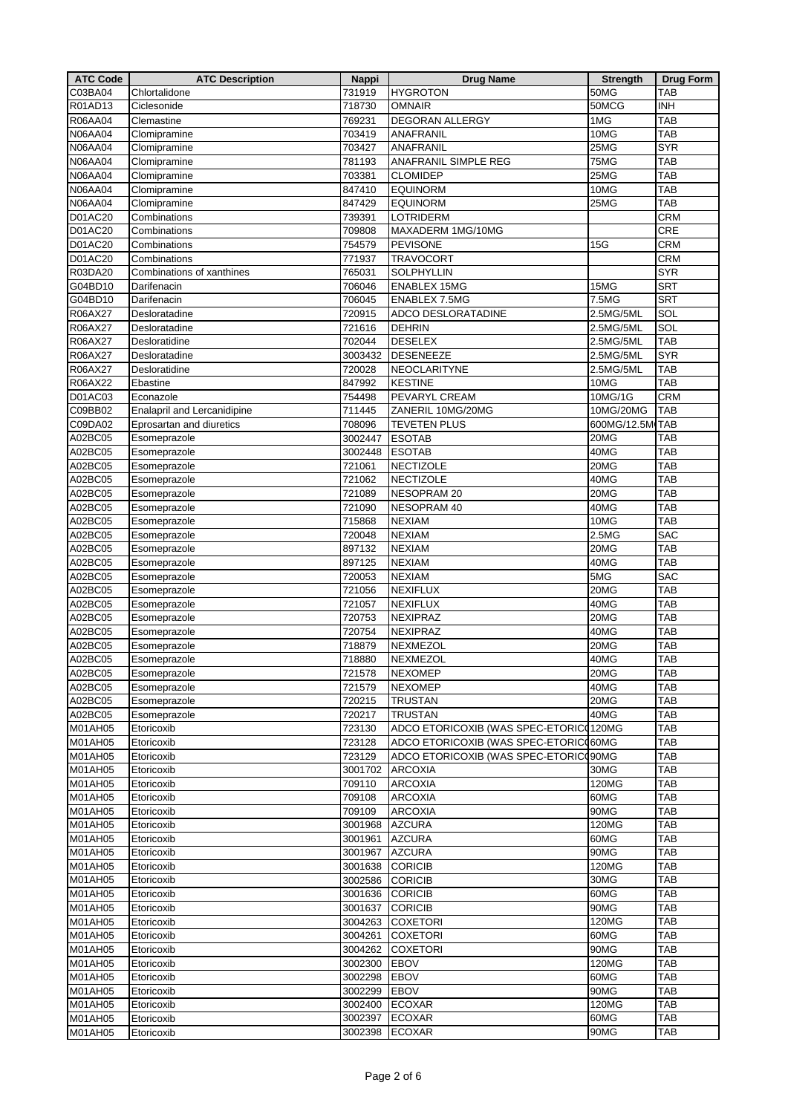| <b>ATC Code</b> | <b>ATC Description</b>      | <b>Nappi</b> | <b>Drug Name</b>                       | <b>Strength</b> | <b>Drug Form</b> |
|-----------------|-----------------------------|--------------|----------------------------------------|-----------------|------------------|
| C03BA04         | Chlortalidone               | 731919       | <b>HYGROTON</b>                        | 50MG            | TAB              |
| R01AD13         | Ciclesonide                 | 718730       | <b>OMNAIR</b>                          | 50MCG           | <b>INH</b>       |
| R06AA04         | Clemastine                  | 769231       | <b>DEGORAN ALLERGY</b>                 | 1MG             | <b>TAB</b>       |
| <b>N06AA04</b>  | Clomipramine                | 703419       | ANAFRANIL                              | 10MG            | TAB              |
| <b>N06AA04</b>  | Clomipramine                | 703427       | ANAFRANIL                              | 25MG            | <b>SYR</b>       |
| N06AA04         | Clomipramine                | 781193       | ANAFRANIL SIMPLE REG                   | 75MG            | <b>TAB</b>       |
|                 |                             |              |                                        |                 |                  |
| N06AA04         | Clomipramine                | 703381       | <b>CLOMIDEP</b>                        | 25MG            | <b>TAB</b>       |
| N06AA04         | Clomipramine                | 847410       | <b>EQUINORM</b>                        | 10MG            | <b>TAB</b>       |
| <b>N06AA04</b>  | Clomipramine                | 847429       | <b>EQUINORM</b>                        | 25MG            | <b>TAB</b>       |
| <b>D01AC20</b>  | Combinations                | 739391       | <b>LOTRIDERM</b>                       |                 | <b>CRM</b>       |
| D01AC20         | Combinations                | 709808       | MAXADERM 1MG/10MG                      |                 | <b>CRE</b>       |
| D01AC20         | Combinations                | 754579       | PEVISONE                               | 15G             | <b>CRM</b>       |
| D01AC20         | Combinations                | 771937       | <b>TRAVOCORT</b>                       |                 | <b>CRM</b>       |
| R03DA20         | Combinations of xanthines   | 765031       | SOLPHYLLIN                             |                 | <b>SYR</b>       |
| G04BD10         | Darifenacin                 | 706046       | <b>ENABLEX 15MG</b>                    | 15MG            | <b>SRT</b>       |
| G04BD10         | Darifenacin                 | 706045       | <b>ENABLEX 7.5MG</b>                   | 7.5MG           | <b>SRT</b>       |
| R06AX27         | Desloratadine               | 720915       | ADCO DESLORATADINE                     | 2.5MG/5ML       | SOL              |
| R06AX27         | Desloratadine               | 721616       | <b>DEHRIN</b>                          | 2.5MG/5ML       | SOL              |
| R06AX27         | Desloratidine               | 702044       | <b>DESELEX</b>                         | 2.5MG/5ML       | <b>TAB</b>       |
| R06AX27         | Desloratadine               | 3003432      | <b>DESENEEZE</b>                       | 2.5MG/5ML       | <b>SYR</b>       |
| R06AX27         | Desloratidine               | 720028       | NEOCLARITYNE                           | 2.5MG/5ML       | <b>TAB</b>       |
| R06AX22         | Ebastine                    | 847992       | <b>KESTINE</b>                         | 10MG            | <b>TAB</b>       |
|                 |                             |              |                                        |                 |                  |
| D01AC03         | Econazole                   | 754498       | PEVARYL CREAM                          | 10MG/1G         | <b>CRM</b>       |
| C09BB02         | Enalapril and Lercanidipine | 711445       | ZANERIL 10MG/20MG                      | 10MG/20MG       | <b>TAB</b>       |
| C09DA02         | Eprosartan and diuretics    | 708096       | <b>TEVETEN PLUS</b>                    | 600MG/12.5M TAB |                  |
| A02BC05         | Esomeprazole                | 3002447      | <b>ESOTAB</b>                          | 20MG            | <b>TAB</b>       |
| A02BC05         | Esomeprazole                | 3002448      | <b>ESOTAB</b>                          | 40MG            | TAB              |
| A02BC05         | Esomeprazole                | 721061       | <b>NECTIZOLE</b>                       | 20MG            | <b>TAB</b>       |
| A02BC05         | Esomeprazole                | 721062       | <b>NECTIZOLE</b>                       | 40MG            | <b>TAB</b>       |
| A02BC05         | Esomeprazole                | 721089       | NESOPRAM 20                            | 20MG            | TAB              |
| A02BC05         | Esomeprazole                | 721090       | NESOPRAM 40                            | 40MG            | TAB              |
| A02BC05         | Esomeprazole                | 715868       | <b>NEXIAM</b>                          | 10MG            | <b>TAB</b>       |
| A02BC05         | Esomeprazole                | 720048       | <b>NEXIAM</b>                          | 2.5MG           | <b>SAC</b>       |
| A02BC05         | Esomeprazole                | 897132       | <b>NEXIAM</b>                          | 20MG            | <b>TAB</b>       |
| A02BC05         | Esomeprazole                | 897125       | <b>NEXIAM</b>                          | 40MG            | <b>TAB</b>       |
| A02BC05         | Esomeprazole                | 720053       | <b>NEXIAM</b>                          | 5MG             | <b>SAC</b>       |
| A02BC05         | Esomeprazole                | 721056       | NEXIFLUX                               | 20MG            | <b>TAB</b>       |
| A02BC05         | Esomeprazole                | 721057       | NEXIFLUX                               | 40MG            | <b>TAB</b>       |
|                 |                             |              |                                        |                 |                  |
| A02BC05         | Esomeprazole                | 720753       | NEXIPRAZ                               | 20MG            | <b>TAB</b>       |
| A02BC05         | Esomeprazole                | 720754       | NEXIPRAZ                               | 40MG            | <b>TAB</b>       |
| A02BC05         | Esomeprazole                | 718879       | NEXMEZOL                               | 20MG            | <b>TAB</b>       |
| A02BC05         | Esomeprazole                | 718880       | NEXMEZOL                               | 40MG            | <b>TAB</b>       |
| A02BC05         | Esomeprazole                | 721578       | <b>NEXOMEP</b>                         | 20MG            | <b>TAB</b>       |
| A02BC05         | Esomeprazole                | 721579       | <b>NEXOMEP</b>                         | 40MG            | <b>TAB</b>       |
| A02BC05         | Esomeprazole                | 720215       | <b>TRUSTAN</b>                         | 20MG            | <b>TAB</b>       |
| A02BC05         | Esomeprazole                | 720217       | <b>TRUSTAN</b>                         | 40MG            | <b>TAB</b>       |
| M01AH05         | Etoricoxib                  | 723130       | ADCO ETORICOXIB (WAS SPEC-ETORIC0120MG |                 | <b>TAB</b>       |
| M01AH05         | Etoricoxib                  | 723128       | ADCO ETORICOXIB (WAS SPEC-ETORIC060MG  |                 | <b>TAB</b>       |
| M01AH05         | Etoricoxib                  | 723129       | ADCO ETORICOXIB (WAS SPEC-ETORICO90MG  |                 | <b>TAB</b>       |
| M01AH05         | Etoricoxib                  | 3001702      | <b>ARCOXIA</b>                         | 30MG            | <b>TAB</b>       |
| M01AH05         | Etoricoxib                  | 709110       | <b>ARCOXIA</b>                         | 120MG           | <b>TAB</b>       |
| M01AH05         | Etoricoxib                  | 709108       | <b>ARCOXIA</b>                         | 60MG            | <b>TAB</b>       |
| M01AH05         | Etoricoxib                  | 709109       | <b>ARCOXIA</b>                         | 90MG            | <b>TAB</b>       |
| M01AH05         | Etoricoxib                  | 3001968      | <b>AZCURA</b>                          | 120MG           | <b>TAB</b>       |
| M01AH05         | Etoricoxib                  | 3001961      | <b>AZCURA</b>                          | 60MG            | <b>TAB</b>       |
| M01AH05         | Etoricoxib                  | 3001967      | <b>AZCURA</b>                          | 90MG            | <b>TAB</b>       |
| M01AH05         | Etoricoxib                  | 3001638      | <b>CORICIB</b>                         | 120MG           | <b>TAB</b>       |
| M01AH05         | Etoricoxib                  | 3002586      | <b>CORICIB</b>                         | 30MG            | <b>TAB</b>       |
| M01AH05         | Etoricoxib                  | 3001636      | <b>CORICIB</b>                         | 60MG            | <b>TAB</b>       |
|                 |                             |              |                                        | 90MG            | <b>TAB</b>       |
| M01AH05         | Etoricoxib                  | 3001637      | <b>CORICIB</b>                         |                 |                  |
| M01AH05         | Etoricoxib                  | 3004263      | <b>COXETORI</b>                        | 120MG           | <b>TAB</b>       |
| M01AH05         | Etoricoxib                  | 3004261      | <b>COXETORI</b>                        | 60MG            | <b>TAB</b>       |
| M01AH05         | Etoricoxib                  | 3004262      | <b>COXETORI</b>                        | 90MG            | <b>TAB</b>       |
| <b>M01AH05</b>  | Etoricoxib                  | 3002300      | <b>EBOV</b>                            | 120MG           | <b>TAB</b>       |
| M01AH05         | Etoricoxib                  | 3002298      | <b>EBOV</b>                            | 60MG            | <b>TAB</b>       |
| M01AH05         | Etoricoxib                  | 3002299      | <b>EBOV</b>                            | 90MG            | <b>TAB</b>       |
| M01AH05         | Etoricoxib                  | 3002400      | <b>ECOXAR</b>                          | 120MG           | <b>TAB</b>       |
| M01AH05         | Etoricoxib                  | 3002397      | <b>ECOXAR</b>                          | 60MG            | <b>TAB</b>       |
| M01AH05         | Etoricoxib                  | 3002398      | <b>ECOXAR</b>                          | 90MG            | TAB              |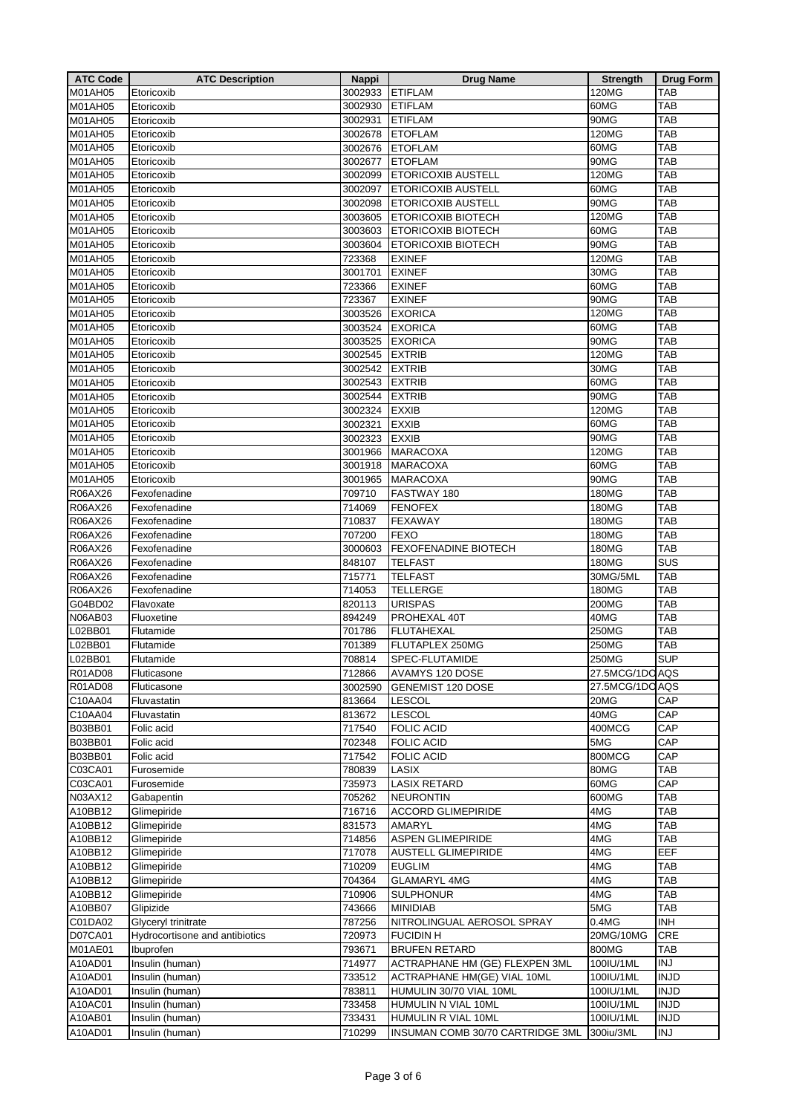| <b>ATC Code</b>    | <b>ATC Description</b>         | <b>Nappi</b>     | <b>Drug Name</b>                         | <b>Strength</b>   | <b>Drug Form</b>  |
|--------------------|--------------------------------|------------------|------------------------------------------|-------------------|-------------------|
| M01AH05            | Etoricoxib                     | 3002933          | <b>ETIFLAM</b>                           | 120MG             | TAB               |
| M01AH05            | Etoricoxib                     | 3002930          | <b>ETIFLAM</b>                           | 60MG              | <b>TAB</b>        |
| M01AH05            | Etoricoxib                     | 3002931          | <b>ETIFLAM</b>                           | 90MG              | <b>TAB</b>        |
| M01AH05            | Etoricoxib                     | 3002678          | <b>ETOFLAM</b>                           | 120MG             | <b>TAB</b>        |
| M01AH05            | Etoricoxib                     | 3002676          | <b>ETOFLAM</b>                           | 60MG              | <b>TAB</b>        |
| <b>M01AH05</b>     | Etoricoxib                     | 3002677          | <b>ETOFLAM</b>                           | 90MG              | <b>TAB</b>        |
| M01AH05            | Etoricoxib                     | 3002099          | <b>ETORICOXIB AUSTELL</b>                | 120MG             | <b>TAB</b>        |
| M01AH05            | Etoricoxib                     | 3002097          | ETORICOXIB AUSTELL                       | 60MG              | <b>TAB</b>        |
| M01AH05            | Etoricoxib                     | 3002098          | ETORICOXIB AUSTELL                       | 90MG              | <b>TAB</b>        |
| M01AH05            | Etoricoxib                     | 3003605          | <b>ETORICOXIB BIOTECH</b>                | 120MG             | <b>TAB</b>        |
| M01AH05            | Etoricoxib                     | 3003603          | <b>ETORICOXIB BIOTECH</b>                | 60MG              | <b>TAB</b>        |
| M01AH05            | Etoricoxib                     | 3003604          | ETORICOXIB BIOTECH                       | 90MG              | <b>TAB</b>        |
| M01AH05            | Etoricoxib                     | 723368           | <b>EXINEF</b>                            | 120MG             | <b>TAB</b>        |
| M01AH05            | Etoricoxib                     | 3001701          | <b>EXINEF</b>                            | 30MG              | <b>TAB</b>        |
| M01AH05            | Etoricoxib                     | 723366           | <b>EXINEF</b>                            | 60MG              | <b>TAB</b>        |
| M01AH05            | Etoricoxib                     | 723367           | <b>EXINEF</b>                            | 90MG              | <b>TAB</b>        |
| M01AH05            | Etoricoxib                     | 3003526          | <b>EXORICA</b>                           | 120MG             | <b>TAB</b>        |
| M01AH05            | Etoricoxib                     | 3003524          | <b>EXORICA</b>                           | 60MG              | <b>TAB</b>        |
| M01AH05            | Etoricoxib                     | 3003525          | <b>EXORICA</b>                           | 90MG              | <b>TAB</b>        |
| M01AH05            | Etoricoxib                     | 3002545          | <b>EXTRIB</b>                            | 120MG             | <b>TAB</b>        |
| M01AH05            | Etoricoxib                     | 3002542          | <b>EXTRIB</b>                            | 30MG              | <b>TAB</b>        |
| M01AH05            | Etoricoxib                     | 3002543          | <b>EXTRIB</b>                            | 60MG              | <b>TAB</b>        |
| M01AH05            | Etoricoxib                     | 3002544          | <b>EXTRIB</b>                            | 90MG              | <b>TAB</b>        |
| M01AH05            | Etoricoxib                     | 3002324          | <b>EXXIB</b>                             | 120MG             | <b>TAB</b>        |
| M01AH05            | Etoricoxib                     | 3002321          | <b>EXXIB</b>                             | 60MG              | <b>TAB</b>        |
| M01AH05            | Etoricoxib                     | 3002323          | <b>EXXIB</b>                             | 90MG              | <b>TAB</b>        |
| M01AH05            | Etoricoxib                     | 3001966          | <b>MARACOXA</b>                          | 120MG             | TAB               |
| M01AH05            | Etoricoxib                     | 3001918          | <b>MARACOXA</b>                          | 60MG              | <b>TAB</b>        |
| M01AH05            | Etoricoxib                     | 3001965          | <b>MARACOXA</b>                          | 90MG              | <b>TAB</b>        |
| R06AX26            | Fexofenadine                   | 709710           | FASTWAY 180                              | 180MG             | <b>TAB</b>        |
| R06AX26            | Fexofenadine                   | 714069           | <b>FENOFEX</b>                           | 180MG             | <b>TAB</b>        |
| R06AX26            | Fexofenadine                   | 710837           | <b>FEXAWAY</b>                           | 180MG             | <b>TAB</b>        |
| R06AX26            | Fexofenadine                   | 707200           | <b>FEXO</b>                              | 180MG             | <b>TAB</b>        |
| R06AX26            | Fexofenadine                   | 3000603          | <b>FEXOFENADINE BIOTECH</b>              | 180MG             | <b>TAB</b>        |
| R06AX26            | Fexofenadine                   | 848107           | <b>TELFAST</b>                           | 180MG             | SUS               |
| R06AX26            | Fexofenadine                   | 715771           | <b>TELFAST</b>                           | 30MG/5ML          | <b>TAB</b>        |
| R06AX26            | Fexofenadine                   | 714053           | <b>TELLERGE</b>                          | 180MG             | <b>TAB</b>        |
| G04BD02            | Flavoxate                      | 820113           | <b>URISPAS</b>                           | 200MG             | <b>TAB</b>        |
| N06AB03            | Fluoxetine                     | 894249           | PROHEXAL 40T                             | 40MG              | <b>TAB</b>        |
| L02BB01            | Flutamide                      | 701786           | <b>FLUTAHEXAL</b>                        | 250MG             | <b>TAB</b>        |
| L02BB01            | Flutamide                      | 701389           | FLUTAPLEX 250MG                          | 250MG             | TAB               |
| L02BB01            | Flutamide                      | 708814           | SPEC-FLUTAMIDE                           | <b>250MG</b>      | <b>SUP</b>        |
| R01AD08            | Fluticasone                    | 712866           | AVAMYS 120 DOSE                          | 27.5MCG/1DO AQS   |                   |
| R01AD08            | Fluticasone                    | 3002590          | <b>GENEMIST 120 DOSE</b>                 | 27.5MCG/1DO AQS   |                   |
| C10AA04            | Fluvastatin                    | 813664           | <b>LESCOL</b>                            | 20MG              | CAP               |
| C10AA04            | Fluvastatin                    | 813672           | <b>LESCOL</b>                            | 40MG              | CAP               |
| B03BB01            | Folic acid                     | 717540           | <b>FOLIC ACID</b>                        | 400MCG            | CAP               |
| B03BB01            | Folic acid                     | 702348           | <b>FOLIC ACID</b>                        | 5MG               | CAP               |
| B03BB01            | Folic acid                     | 717542           | <b>FOLIC ACID</b>                        | 800MCG            | CAP               |
| C03CA01            | Furosemide                     | 780839           | LASIX                                    | 80MG              | TAB               |
| C03CA01            | Furosemide                     | 735973           | <b>LASIX RETARD</b>                      | 60MG              | CAP               |
| N03AX12            | Gabapentin                     | 705262           | <b>NEURONTIN</b>                         | 600MG             | <b>TAB</b>        |
| A10BB12            | Glimepiride                    | 716716           | <b>ACCORD GLIMEPIRIDE</b>                | 4MG               | <b>TAB</b>        |
| A10BB12            | Glimepiride                    | 831573           | AMARYL                                   | 4MG<br>4MG        | <b>TAB</b>        |
| A10BB12<br>A10BB12 | Glimepiride<br>Glimepiride     | 714856<br>717078 | ASPEN GLIMEPIRIDE<br>AUSTELL GLIMEPIRIDE | 4MG               | <b>TAB</b><br>EEF |
| A10BB12            | Glimepiride                    | 710209           | <b>EUGLIM</b>                            | 4MG               |                   |
|                    |                                |                  |                                          |                   | TAB               |
| A10BB12<br>A10BB12 | Glimepiride<br>Glimepiride     | 704364<br>710906 | <b>GLAMARYL 4MG</b><br><b>SULPHONUR</b>  | 4MG<br>4MG        | TAB<br><b>TAB</b> |
| A10BB07            | Glipizide                      | 743666           | <b>MINIDIAB</b>                          | 5MG               | <b>TAB</b>        |
| C01DA02            | Glyceryl trinitrate            | 787256           | NITROLINGUAL AEROSOL SPRAY               | 0.4M <sub>G</sub> | <b>INH</b>        |
| D07CA01            | Hydrocortisone and antibiotics | 720973           | <b>FUCIDIN H</b>                         | 20MG/10MG         | CRE               |
| M01AE01            |                                | 793671           | <b>BRUFEN RETARD</b>                     | 800MG             | <b>TAB</b>        |
| A10AD01            | Ibuprofen<br>Insulin (human)   | 714977           | ACTRAPHANE HM (GE) FLEXPEN 3ML           | 100IU/1ML         | <b>INJ</b>        |
| A10AD01            | Insulin (human)                | 733512           | ACTRAPHANE HM(GE) VIAL 10ML              | 100IU/1ML         | <b>INJD</b>       |
| A10AD01            | Insulin (human)                | 783811           | HUMULIN 30/70 VIAL 10ML                  | 100IU/1ML         | <b>INJD</b>       |
| A10AC01            | Insulin (human)                | 733458           | HUMULIN N VIAL 10ML                      | 100IU/1ML         | <b>INJD</b>       |
| A10AB01            | Insulin (human)                | 733431           | HUMULIN R VIAL 10ML                      | 100IU/1ML         | <b>INJD</b>       |
| A10AD01            | Insulin (human)                | 710299           | INSUMAN COMB 30/70 CARTRIDGE 3ML         | 300iu/3ML         | <b>INJ</b>        |
|                    |                                |                  |                                          |                   |                   |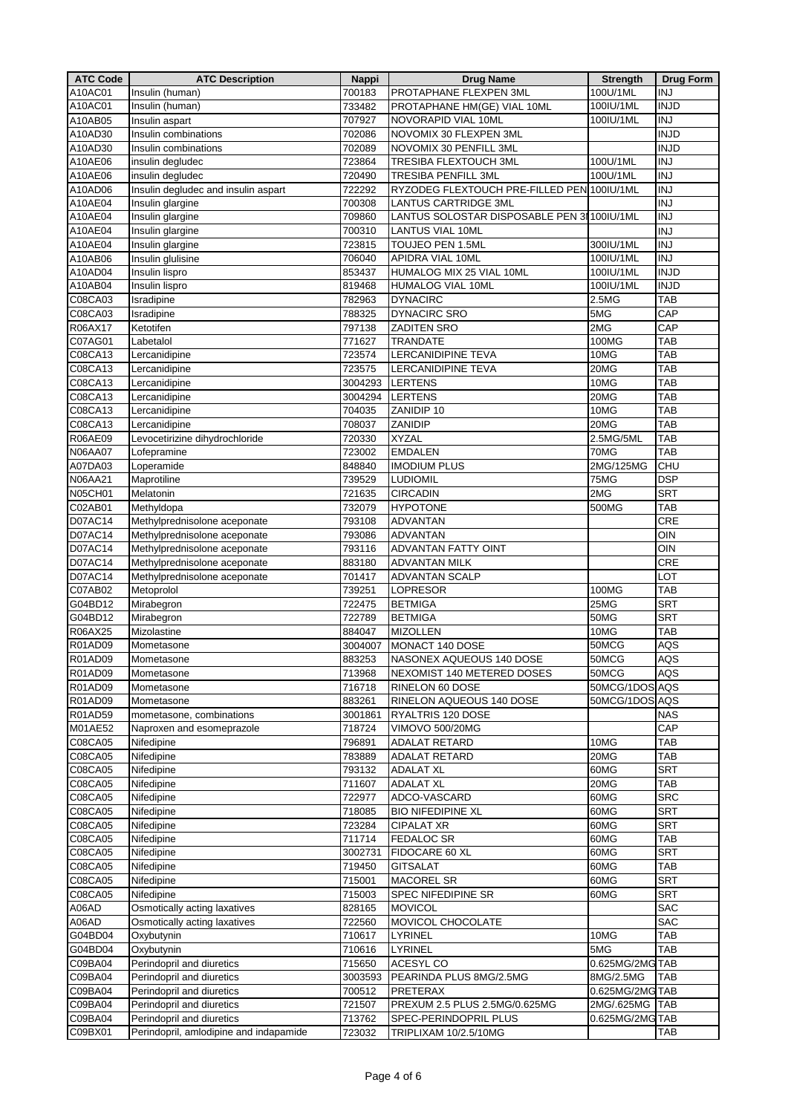| <b>ATC Code</b> | <b>ATC Description</b>                 | <b>Nappi</b> | <b>Drug Name</b>                            | <b>Strength</b> | <b>Drug Form</b> |
|-----------------|----------------------------------------|--------------|---------------------------------------------|-----------------|------------------|
| A10AC01         | Insulin (human)                        | 700183       | PROTAPHANE FLEXPEN 3ML                      | 100U/1ML        | <b>INJ</b>       |
| A10AC01         | Insulin (human)                        | 733482       | PROTAPHANE HM(GE) VIAL 10ML                 | 100IU/1ML       | <b>INJD</b>      |
| A10AB05         | Insulin aspart                         | 707927       | <b>NOVORAPID VIAL 10ML</b>                  | 100IU/1ML       | <b>INJ</b>       |
| A10AD30         | Insulin combinations                   | 702086       | NOVOMIX 30 FLEXPEN 3ML                      |                 | <b>INJD</b>      |
| A10AD30         | Insulin combinations                   | 702089       | NOVOMIX 30 PENFILL 3ML                      |                 | <b>INJD</b>      |
| A10AE06         | insulin degludec                       | 723864       | TRESIBA FLEXTOUCH 3ML                       | 100U/1ML        | <b>INJ</b>       |
|                 |                                        |              |                                             |                 | <b>INJ</b>       |
| A10AE06         | insulin degludec                       | 720490       | <b>TRESIBA PENFILL 3ML</b>                  | 100U/1ML        |                  |
| A10AD06         | Insulin degludec and insulin aspart    | 722292       | RYZODEG FLEXTOUCH PRE-FILLED PEN 100IU/1ML  |                 | <b>INJ</b>       |
| A10AE04         | Insulin glargine                       | 700308       | <b>LANTUS CARTRIDGE 3ML</b>                 |                 | $\overline{N}$   |
| A10AE04         | Insulin glargine                       | 709860       | LANTUS SOLOSTAR DISPOSABLE PEN 3I 100IU/1ML |                 | <b>INJ</b>       |
| A10AE04         | Insulin glargine                       | 700310       | <b>LANTUS VIAL 10ML</b>                     |                 | <b>INJ</b>       |
| A10AE04         | Insulin glargine                       | 723815       | TOUJEO PEN 1.5ML                            | 300IU/1ML       | <b>INJ</b>       |
| A10AB06         | Insulin glulisine                      | 706040       | APIDRA VIAL 10ML                            | 100IU/1ML       | <b>INJ</b>       |
| A10AD04         | Insulin lispro                         | 853437       | HUMALOG MIX 25 VIAL 10ML                    | 100IU/1ML       | <b>INJD</b>      |
| A10AB04         | Insulin lispro                         | 819468       | <b>HUMALOG VIAL 10ML</b>                    | 100IU/1ML       | <b>INJD</b>      |
| C08CA03         | Isradipine                             | 782963       | <b>DYNACIRC</b>                             | 2.5MG           | <b>TAB</b>       |
| C08CA03         | Isradipine                             | 788325       | <b>DYNACIRC SRO</b>                         | 5MG             | CAP              |
| R06AX17         | Ketotifen                              | 797138       | <b>ZADITEN SRO</b>                          | 2MG             | CAP              |
| C07AG01         | Labetalol                              | 771627       | <b>TRANDATE</b>                             | 100MG           | <b>TAB</b>       |
| C08CA13         | Lercanidipine                          | 723574       | LERCANIDIPINE TEVA                          | 10MG            | <b>TAB</b>       |
| C08CA13         | Lercanidipine                          | 723575       | <b>LERCANIDIPINE TEVA</b>                   | 20MG            | <b>TAB</b>       |
| C08CA13         | Lercanidipine                          | 3004293      | <b>LERTENS</b>                              | 10MG            | <b>TAB</b>       |
|                 |                                        |              | <b>LERTENS</b>                              |                 |                  |
| C08CA13         | Lercanidipine                          | 3004294      |                                             | 20MG<br>10MG    | <b>TAB</b>       |
| C08CA13         | Lercanidipine                          | 704035       | ZANIDIP 10                                  |                 | <b>TAB</b>       |
| C08CA13         | Lercanidipine                          | 708037       | ZANIDIP                                     | 20MG            | <b>TAB</b>       |
| R06AE09         | Levocetirizine dihydrochloride         | 720330       | <b>XYZAL</b>                                | 2.5MG/5ML       | <b>TAB</b>       |
| <b>N06AA07</b>  | Lofepramine                            | 723002       | <b>EMDALEN</b>                              | 70MG            | <b>TAB</b>       |
| A07DA03         | Loperamide                             | 848840       | <b>IMODIUM PLUS</b>                         | 2MG/125MG       | CHU              |
| N06AA21         | Maprotiline                            | 739529       | <b>LUDIOMIL</b>                             | 75MG            | <b>DSP</b>       |
| N05CH01         | Melatonin                              | 721635       | <b>CIRCADIN</b>                             | 2MG             | <b>SRT</b>       |
| C02AB01         | Methyldopa                             | 732079       | <b>HYPOTONE</b>                             | 500MG           | TAB              |
| D07AC14         | Methylprednisolone aceponate           | 793108       | <b>ADVANTAN</b>                             |                 | CRE              |
| D07AC14         | Methylprednisolone aceponate           | 793086       | <b>ADVANTAN</b>                             |                 | <b>OIN</b>       |
| D07AC14         | Methylprednisolone aceponate           | 793116       | ADVANTAN FATTY OINT                         |                 | OIN              |
| D07AC14         | Methylprednisolone aceponate           | 883180       | <b>ADVANTAN MILK</b>                        |                 | <b>CRE</b>       |
| D07AC14         | Methylprednisolone aceponate           | 701417       | <b>ADVANTAN SCALP</b>                       |                 | LOT              |
| C07AB02         | Metoprolol                             | 739251       | <b>LOPRESOR</b>                             | 100MG           | <b>TAB</b>       |
| G04BD12         | Mirabegron                             | 722475       | <b>BETMIGA</b>                              | 25MG            | <b>SRT</b>       |
| G04BD12         | Mirabegron                             | 722789       | <b>BETMIGA</b>                              | 50MG            | <b>SRT</b>       |
| R06AX25         | Mizolastine                            | 884047       | <b>MIZOLLEN</b>                             | 10MG            | TAB              |
| R01AD09         | Mometasone                             | 3004007      | MONACT 140 DOSE                             | 50MCG           | AQS              |
|                 |                                        |              |                                             |                 |                  |
| R01AD09         | Mometasone                             | 883253       | NASONEX AQUEOUS 140 DOSE                    | 50MCG           | <b>AQS</b>       |
| R01AD09         | Mometasone                             | 713968       | NEXOMIST 140 METERED DOSES                  | 50MCG           | AQS              |
| R01AD09         | Mometasone                             | 716718       | RINELON 60 DOSE                             | 50MCG/1DOS AQS  |                  |
| R01AD09         | Mometasone                             | 883261       | RINELON AQUEOUS 140 DOSE                    | 50MCG/1DOS AQS  |                  |
| R01AD59         | mometasone, combinations               | 3001861      | RYALTRIS 120 DOSE                           |                 | NAS              |
| M01AE52         | Naproxen and esomeprazole              | 718724       | VIMOVO 500/20MG                             |                 | CAP              |
| C08CA05         | Nifedipine                             | 796891       | ADALAT RETARD                               | 10MG            | <b>TAB</b>       |
| C08CA05         | Nifedipine                             | 783889       | ADALAT RETARD                               | 20MG            | <b>TAB</b>       |
| C08CA05         | Nifedipine                             | 793132       | <b>ADALAT XL</b>                            | 60MG            | <b>SRT</b>       |
| C08CA05         | Nifedipine                             | 711607       | <b>ADALAT XL</b>                            | 20MG            | <b>TAB</b>       |
| C08CA05         | Nifedipine                             | 722977       | ADCO-VASCARD                                | 60MG            | <b>SRC</b>       |
| C08CA05         | Nifedipine                             | 718085       | <b>BIO NIFEDIPINE XL</b>                    | 60MG            | <b>SRT</b>       |
| C08CA05         | Nifedipine                             | 723284       | <b>CIPALAT XR</b>                           | 60MG            | <b>SRT</b>       |
| C08CA05         | Nifedipine                             | 711714       | <b>FEDALOC SR</b>                           | 60MG            | <b>TAB</b>       |
| C08CA05         | Nifedipine                             | 3002731      | FIDOCARE 60 XL                              | 60MG            | <b>SRT</b>       |
| C08CA05         | Nifedipine                             | 719450       | <b>GITSALAT</b>                             | 60MG            | <b>TAB</b>       |
| C08CA05         | Nifedipine                             | 715001       | <b>MACOREL SR</b>                           | 60MG            | <b>SRT</b>       |
| C08CA05         | Nifedipine                             | 715003       | SPEC NIFEDIPINE SR                          | 60MG            | <b>SRT</b>       |
| A06AD           | Osmotically acting laxatives           | 828165       | <b>MOVICOL</b>                              |                 | <b>SAC</b>       |
| A06AD           | Osmotically acting laxatives           | 722560       | MOVICOL CHOCOLATE                           |                 | <b>SAC</b>       |
| G04BD04         | Oxybutynin                             |              | LYRINEL                                     | 10MG            | <b>TAB</b>       |
|                 |                                        | 710617       |                                             | 5MG             |                  |
| G04BD04         | Oxybutynin                             | 710616       | LYRINEL                                     |                 | <b>TAB</b>       |
| C09BA04         | Perindopril and diuretics              | 715650       | ACESYL CO                                   | 0.625MG/2MG TAB |                  |
| C09BA04         | Perindopril and diuretics              | 3003593      | PEARINDA PLUS 8MG/2.5MG                     | 8MG/2.5MG       | TAB              |
| C09BA04         | Perindopril and diuretics              | 700512       | PRETERAX                                    | 0.625MG/2MGTAB  |                  |
| C09BA04         | Perindopril and diuretics              | 721507       | PREXUM 2.5 PLUS 2.5MG/0.625MG               | 2MG/.625MG      | <b>TAB</b>       |
| C09BA04         | Perindopril and diuretics              | 713762       | SPEC-PERINDOPRIL PLUS                       | 0.625MG/2MG TAB |                  |
| C09BX01         | Perindopril, amlodipine and indapamide | 723032       | TRIPLIXAM 10/2.5/10MG                       |                 | TAB              |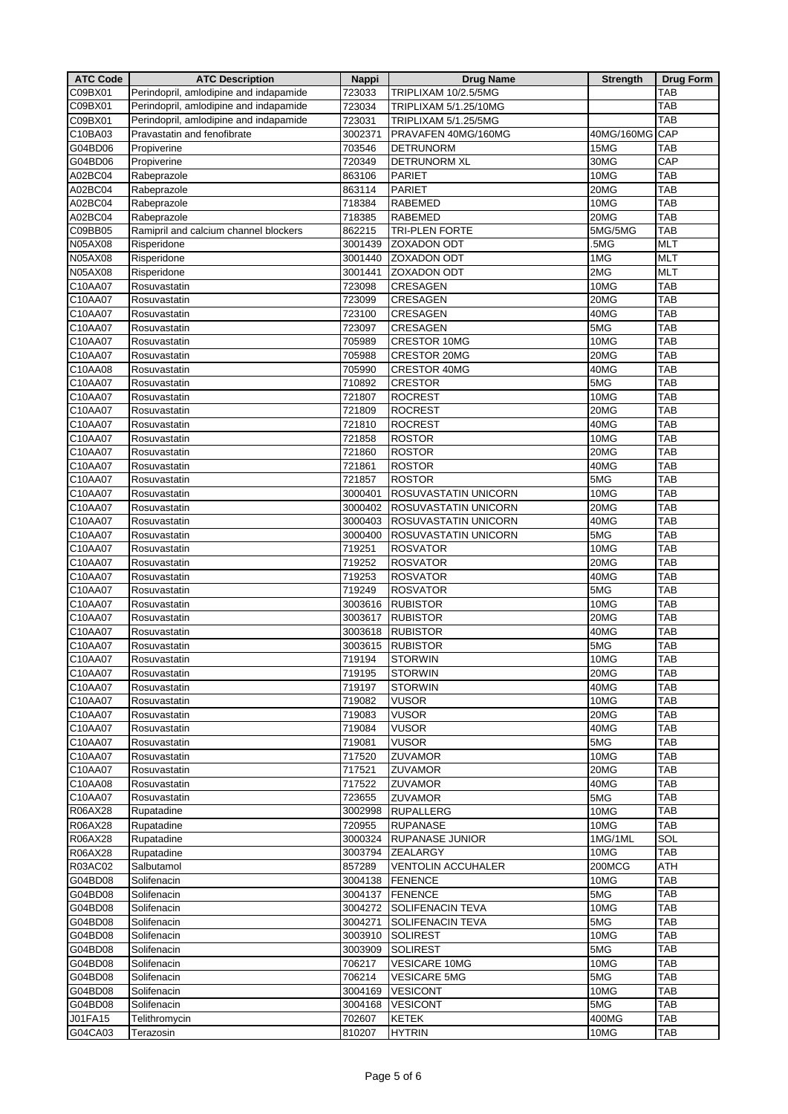| <b>ATC Code</b> | <b>ATC Description</b>                 | <b>Nappi</b> | <b>Drug Name</b>          | <b>Strength</b> | <b>Drug Form</b> |
|-----------------|----------------------------------------|--------------|---------------------------|-----------------|------------------|
| C09BX01         | Perindopril, amlodipine and indapamide | 723033       | TRIPLIXAM 10/2.5/5MG      |                 | TAB              |
| C09BX01         | Perindopril, amlodipine and indapamide | 723034       | TRIPLIXAM 5/1.25/10MG     |                 | <b>TAB</b>       |
| C09BX01         | Perindopril, amlodipine and indapamide | 723031       | TRIPLIXAM 5/1.25/5MG      |                 | TAB              |
| C10BA03         | Pravastatin and fenofibrate            | 3002371      | PRAVAFEN 40MG/160MG       | 40MG/160MG      | CAP              |
| G04BD06         | Propiverine                            | 703546       | <b>DETRUNORM</b>          | 15MG            | TAB              |
|                 |                                        | 720349       |                           | 30MG            | CAP              |
| G04BD06         | Propiverine                            |              | <b>DETRUNORM XL</b>       |                 |                  |
| A02BC04         | Rabeprazole                            | 863106       | PARIET                    | 10MG            | TAB              |
| A02BC04         | Rabeprazole                            | 863114       | <b>PARIET</b>             | 20MG            | <b>TAB</b>       |
| A02BC04         | Rabeprazole                            | 718384       | <b>RABEMED</b>            | 10MG            | <b>TAB</b>       |
| A02BC04         | Rabeprazole                            | 718385       | <b>RABEMED</b>            | 20MG            | <b>TAB</b>       |
| C09BB05         | Ramipril and calcium channel blockers  | 862215       | <b>TRI-PLEN FORTE</b>     | 5MG/5MG         | TAB              |
| N05AX08         | Risperidone                            | 3001439      | <b>ZOXADON ODT</b>        | .5MG            | <b>MLT</b>       |
| <b>N05AX08</b>  | Risperidone                            | 3001440      | <b>ZOXADON ODT</b>        | 1MG             | <b>MLT</b>       |
| N05AX08         | Risperidone                            | 3001441      | <b>ZOXADON ODT</b>        | 2MG             | <b>MLT</b>       |
| C10AA07         | Rosuvastatin                           | 723098       | CRESAGEN                  | 10MG            | TAB              |
| C10AA07         | Rosuvastatin                           | 723099       | CRESAGEN                  | 20MG            | <b>TAB</b>       |
| C10AA07         | Rosuvastatin                           | 723100       | CRESAGEN                  | 40MG            | TAB              |
| C10AA07         | Rosuvastatin                           | 723097       | CRESAGEN                  | 5MG             | <b>TAB</b>       |
| C10AA07         | Rosuvastatin                           | 705989       | <b>CRESTOR 10MG</b>       | 10MG            | TAB              |
| C10AA07         | Rosuvastatin                           | 705988       | <b>CRESTOR 20MG</b>       | 20MG            | <b>TAB</b>       |
| C10AA08         | Rosuvastatin                           | 705990       | <b>CRESTOR 40MG</b>       | 40MG            | TAB              |
| C10AA07         | Rosuvastatin                           | 710892       | <b>CRESTOR</b>            | 5MG             | <b>TAB</b>       |
| C10AA07         | Rosuvastatin                           | 721807       | <b>ROCREST</b>            | 10MG            | <b>TAB</b>       |
| C10AA07         | Rosuvastatin                           | 721809       | <b>ROCREST</b>            | 20MG            | <b>TAB</b>       |
| C10AA07         |                                        |              |                           | 40MG            | <b>TAB</b>       |
|                 | Rosuvastatin                           | 721810       | <b>ROCREST</b>            |                 |                  |
| C10AA07         | Rosuvastatin                           | 721858       | <b>ROSTOR</b>             | 10MG            | <b>TAB</b>       |
| C10AA07         | Rosuvastatin                           | 721860       | <b>ROSTOR</b>             | 20MG            | TAB              |
| C10AA07         | Rosuvastatin                           | 721861       | <b>ROSTOR</b>             | 40MG            | TAB              |
| C10AA07         | Rosuvastatin                           | 721857       | <b>ROSTOR</b>             | 5MG             | <b>TAB</b>       |
| C10AA07         | Rosuvastatin                           | 3000401      | ROSUVASTATIN UNICORN      | 10MG            | <b>TAB</b>       |
| C10AA07         | Rosuvastatin                           | 3000402      | ROSUVASTATIN UNICORN      | 20MG            | TAB              |
| C10AA07         | Rosuvastatin                           | 3000403      | ROSUVASTATIN UNICORN      | 40MG            | <b>TAB</b>       |
| C10AA07         | Rosuvastatin                           | 3000400      | ROSUVASTATIN UNICORN      | 5MG             | <b>TAB</b>       |
| C10AA07         | Rosuvastatin                           | 719251       | <b>ROSVATOR</b>           | 10MG            | TAB              |
| C10AA07         | Rosuvastatin                           | 719252       | <b>ROSVATOR</b>           | 20MG            | <b>TAB</b>       |
| C10AA07         | Rosuvastatin                           | 719253       | <b>ROSVATOR</b>           | 40MG            | TAB              |
| C10AA07         | Rosuvastatin                           | 719249       | <b>ROSVATOR</b>           | 5MG             | <b>TAB</b>       |
| C10AA07         | Rosuvastatin                           | 3003616      | <b>RUBISTOR</b>           | 10MG            | TAB              |
| C10AA07         | Rosuvastatin                           | 3003617      | <b>RUBISTOR</b>           | 20MG            | <b>TAB</b>       |
| C10AA07         | Rosuvastatin                           | 3003618      | <b>RUBISTOR</b>           | 40MG            | <b>TAB</b>       |
| C10AA07         | Rosuvastatin                           | 3003615      | <b>RUBISTOR</b>           | 5MG             | <b>TAB</b>       |
| C10AA07         | Rosuvastatin                           | 719194       | <b>STORWIN</b>            | 10MG            | <b>TAB</b>       |
| C10AA07         | Rosuvastatin                           | 719195       | <b>STORWIN</b>            | 20MG            | TAB              |
| C10AA07         | Rosuvastatin                           | 719197       | <b>STORWIN</b>            | 40MG            | TAB              |
| C10AA07         | Rosuvastatin                           | 719082       | <b>VUSOR</b>              | 10MG            | <b>TAB</b>       |
| C10AA07         | Rosuvastatin                           | 719083       | <b>VUSOR</b>              | 20MG            | <b>TAB</b>       |
| C10AA07         | Rosuvastatin                           | 719084       | <b>VUSOR</b>              | 40MG            | <b>TAB</b>       |
| C10AA07         |                                        | 719081       | <b>VUSOR</b>              | 5MG             | <b>TAB</b>       |
| C10AA07         | Rosuvastatin                           | 717520       | ZUVAMOR                   | 10MG            | <b>TAB</b>       |
|                 | Rosuvastatin                           |              |                           |                 |                  |
| C10AA07         | Rosuvastatin                           | 717521       | ZUVAMOR                   | 20MG            | <b>TAB</b>       |
| C10AA08         | Rosuvastatin                           | 717522       | ZUVAMOR                   | 40MG            | <b>TAB</b>       |
| C10AA07         | Rosuvastatin                           | 723655       | <b>ZUVAMOR</b>            | 5MG             | <b>TAB</b>       |
| R06AX28         | Rupatadine                             | 3002998      | <b>RUPALLERG</b>          | 10MG            | <b>TAB</b>       |
| R06AX28         | Rupatadine                             | 720955       | <b>RUPANASE</b>           | 10MG            | <b>TAB</b>       |
| R06AX28         | Rupatadine                             | 3000324      | <b>RUPANASE JUNIOR</b>    | 1MG/1ML         | SOL              |
| R06AX28         | Rupatadine                             | 3003794      | <b>ZEALARGY</b>           | 10MG            | TAB              |
| R03AC02         | Salbutamol                             | 857289       | <b>VENTOLIN ACCUHALER</b> | 200MCG          | ATH              |
| G04BD08         | Solifenacin                            | 3004138      | <b>FENENCE</b>            | 10MG            | <b>TAB</b>       |
| G04BD08         | Solifenacin                            | 3004137      | <b>FENENCE</b>            | 5MG             | TAB              |
| G04BD08         | Solifenacin                            | 3004272      | <b>SOLIFENACIN TEVA</b>   | 10MG            | <b>TAB</b>       |
| G04BD08         | Solifenacin                            | 3004271      | <b>SOLIFENACIN TEVA</b>   | 5MG             | TAB              |
| G04BD08         | Solifenacin                            | 3003910      | <b>SOLIREST</b>           | 10MG            | <b>TAB</b>       |
| G04BD08         | Solifenacin                            | 3003909      | <b>SOLIREST</b>           | 5MG             | TAB              |
| G04BD08         | Solifenacin                            | 706217       | <b>VESICARE 10MG</b>      | 10MG            | TAB              |
| G04BD08         | Solifenacin                            | 706214       | <b>VESICARE 5MG</b>       | 5MG             | <b>TAB</b>       |
| G04BD08         | Solifenacin                            | 3004169      | <b>VESICONT</b>           | 10MG            | <b>TAB</b>       |
| G04BD08         | Solifenacin                            | 3004168      | <b>VESICONT</b>           | 5MG             | TAB              |
| J01FA15         | Telithromycin                          | 702607       | <b>KETEK</b>              | 400MG           | <b>TAB</b>       |
| G04CA03         | Terazosin                              | 810207       | <b>HYTRIN</b>             | 10MG            | TAB              |
|                 |                                        |              |                           |                 |                  |